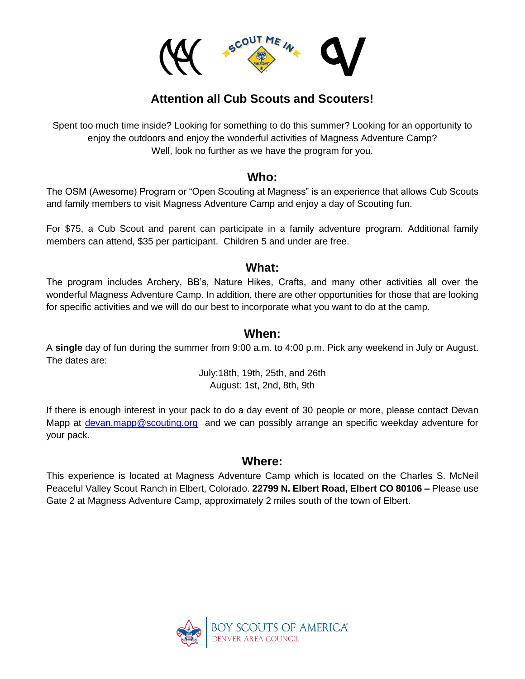

# **Attention all Cub Scouts and Scouters!**

Spent too much time inside? Looking for something to do this summer? Looking for an opportunity to enjoy the outdoors and enjoy the wonderful activities of Magness Adventure Camp? Well, look no further as we have the program for you.

### **Who:**

The OSM (Awesome) Program or "Open Scouting at Magness" is an experience that allows Cub Scouts and family members to visit Magness Adventure Camp and enjoy a day of Scouting fun.

For \$75, a Cub Scout and parent can participate in a family adventure program. Additional family members can attend, \$35 per participant. Children 5 and under are free.

### **What:**

The program includes Archery, BB's, Nature Hikes, Crafts, and many other activities all over the wonderful Magness Adventure Camp. In addition, there are other opportunities for those that are looking for specific activities and we will do our best to incorporate what you want to do at the camp.

## **When:**

A **single** day of fun during the summer from 9:00 a.m. to 4:00 p.m. Pick any weekend in July or August. The dates are:

> July:18th, 19th, 25th, and 26th August: 1st, 2nd, 8th, 9th

If there is enough interest in your pack to do a day event of 30 people or more, please contact Devan Mapp at [devan.mapp@scouting.org](mailto:devan.mapp@scouting.org) and we can possibly arrange an specific weekday adventure for your pack.

### **Where:**

This experience is located at Magness Adventure Camp which is located on the Charles S. McNeil Peaceful Valley Scout Ranch in Elbert, Colorado. **22799 N. Elbert Road, Elbert CO 80106 –** Please use Gate 2 at Magness Adventure Camp, approximately 2 miles south of the town of Elbert.